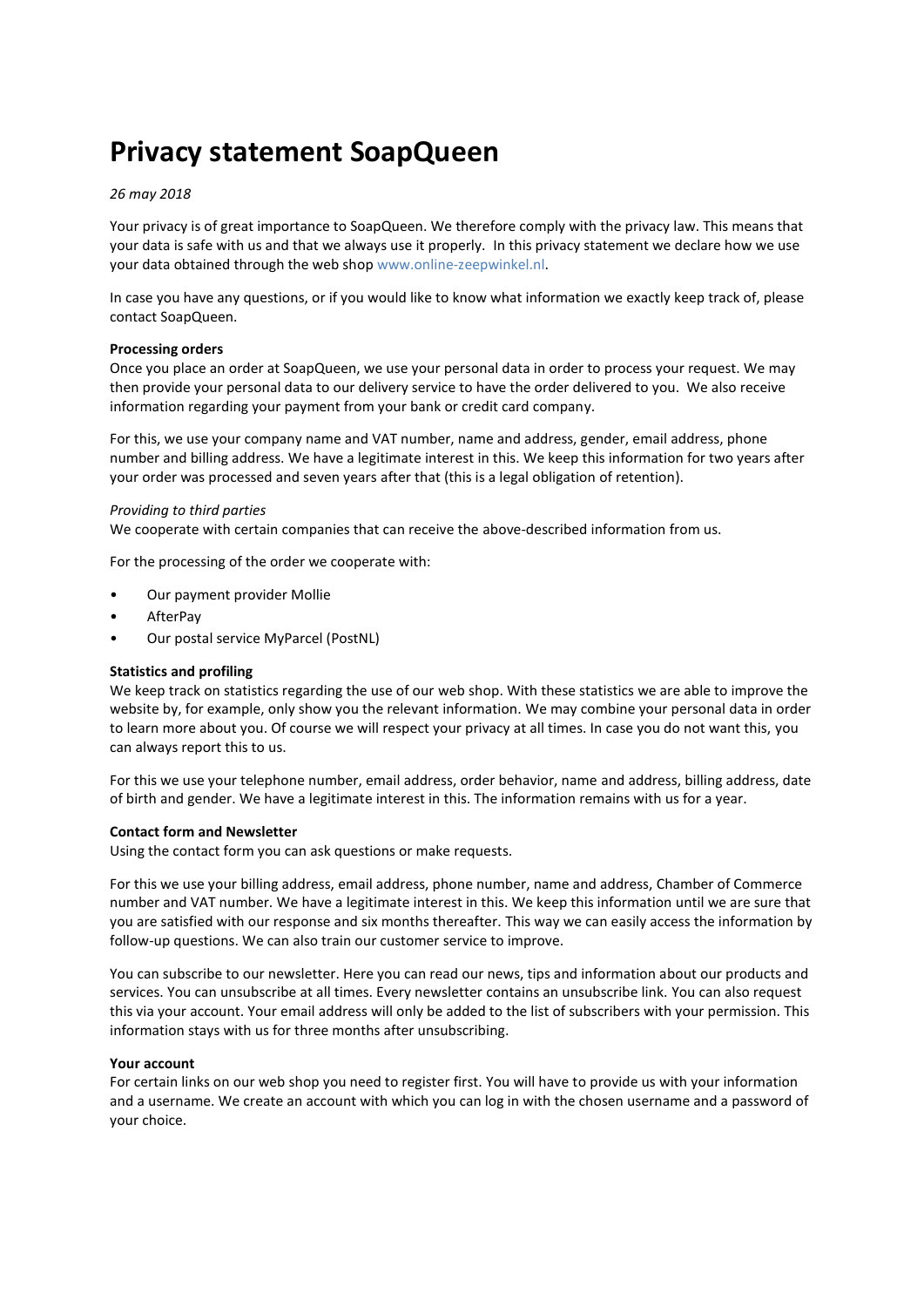# **Privacy statement SoapQueen**

# *26 may 2018*

Your privacy is of great importance to SoapQueen. We therefore comply with the privacy law. This means that your data is safe with us and that we always use it properly. In this privacy statement we declare how we use your data obtained through the web shop [www.online-zeepwinkel.nl.](http://www.online-zeepwinkel.nl/)

In case you have any questions, or if you would like to know what information we exactly keep track of, please contact SoapQueen.

## **Processing orders**

Once you place an order at SoapQueen, we use your personal data in order to process your request. We may then provide your personal data to our delivery service to have the order delivered to you. We also receive information regarding your payment from your bank or credit card company.

For this, we use your company name and VAT number, name and address, gender, email address, phone number and billing address. We have a legitimate interest in this. We keep this information for two years after your order was processed and seven years after that (this is a legal obligation of retention).

## *Providing to third parties*

We cooperate with certain companies that can receive the above-described information from us.

For the processing of the order we cooperate with:

- Our payment provider Mollie
- AfterPay
- Our postal service MyParcel (PostNL)

## **Statistics and profiling**

We keep track on statistics regarding the use of our web shop. With these statistics we are able to improve the website by, for example, only show you the relevant information. We may combine your personal data in order to learn more about you. Of course we will respect your privacy at all times. In case you do not want this, you can always report this to us.

For this we use your telephone number, email address, order behavior, name and address, billing address, date of birth and gender. We have a legitimate interest in this. The information remains with us for a year.

#### **Contact form and Newsletter**

Using the contact form you can ask questions or make requests.

For this we use your billing address, email address, phone number, name and address, Chamber of Commerce number and VAT number. We have a legitimate interest in this. We keep this information until we are sure that you are satisfied with our response and six months thereafter. This way we can easily access the information by follow-up questions. We can also train our customer service to improve.

You can subscribe to our newsletter. Here you can read our news, tips and information about our products and services. You can unsubscribe at all times. Every newsletter contains an unsubscribe link. You can also request this via your account. Your email address will only be added to the list of subscribers with your permission. This information stays with us for three months after unsubscribing.

#### **Your account**

For certain links on our web shop you need to register first. You will have to provide us with your information and a username. We create an account with which you can log in with the chosen username and a password of your choice.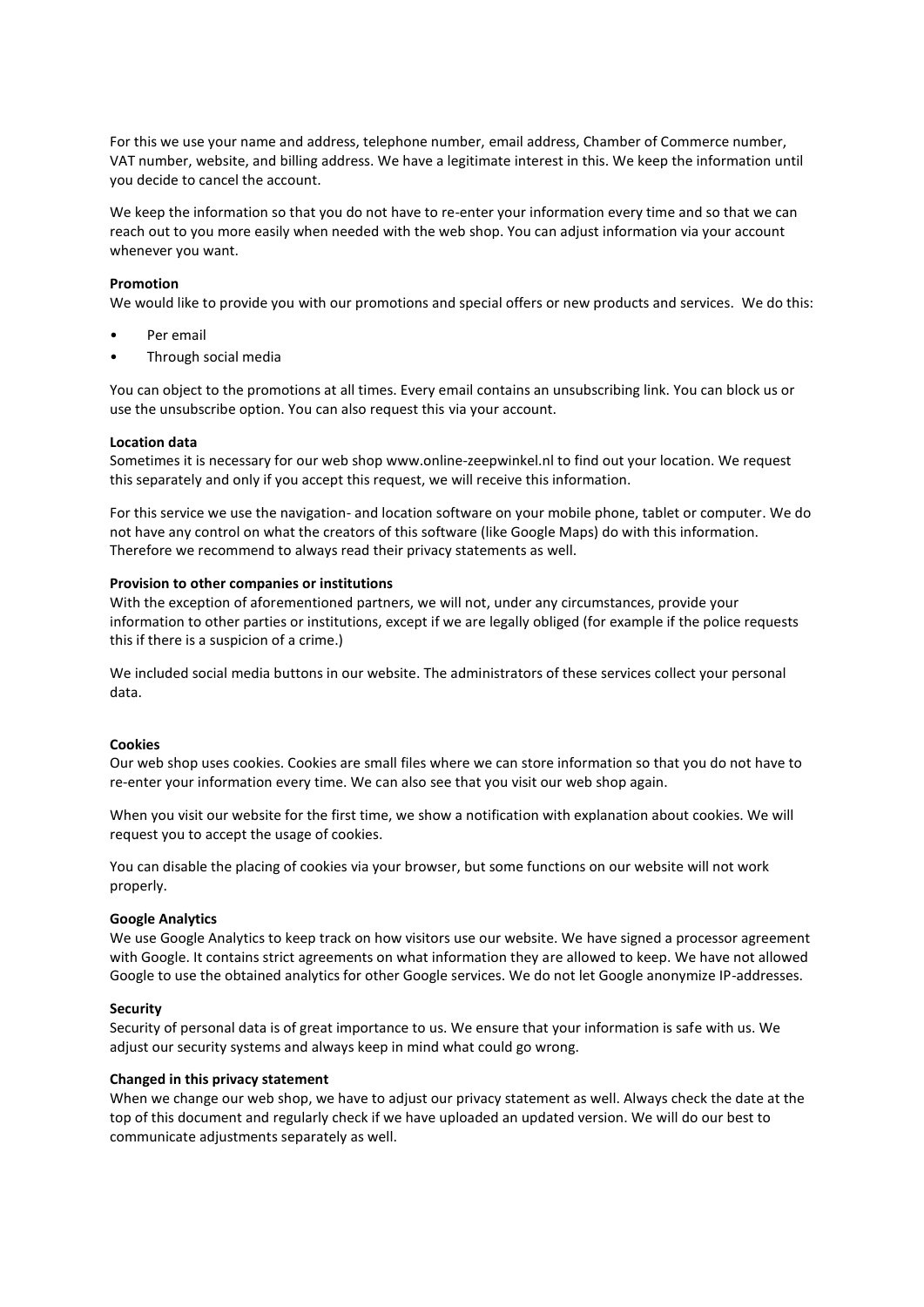For this we use your name and address, telephone number, email address, Chamber of Commerce number, VAT number, website, and billing address. We have a legitimate interest in this. We keep the information until you decide to cancel the account.

We keep the information so that you do not have to re-enter your information every time and so that we can reach out to you more easily when needed with the web shop. You can adjust information via your account whenever you want.

#### **Promotion**

We would like to provide you with our promotions and special offers or new products and services. We do this:

- Per email
- Through social media

You can object to the promotions at all times. Every email contains an unsubscribing link. You can block us or use the unsubscribe option. You can also request this via your account.

#### **Location data**

Sometimes it is necessary for our web shop www.online-zeepwinkel.nl to find out your location. We request this separately and only if you accept this request, we will receive this information.

For this service we use the navigation- and location software on your mobile phone, tablet or computer. We do not have any control on what the creators of this software (like Google Maps) do with this information. Therefore we recommend to always read their privacy statements as well.

#### **Provision to other companies or institutions**

With the exception of aforementioned partners, we will not, under any circumstances, provide your information to other parties or institutions, except if we are legally obliged (for example if the police requests this if there is a suspicion of a crime.)

We included social media buttons in our website. The administrators of these services collect your personal data.

#### **Cookies**

Our web shop uses cookies. Cookies are small files where we can store information so that you do not have to re-enter your information every time. We can also see that you visit our web shop again.

When you visit our website for the first time, we show a notification with explanation about cookies. We will request you to accept the usage of cookies.

You can disable the placing of cookies via your browser, but some functions on our website will not work properly.

#### **Google Analytics**

We use Google Analytics to keep track on how visitors use our website. We have signed a processor agreement with Google. It contains strict agreements on what information they are allowed to keep. We have not allowed Google to use the obtained analytics for other Google services. We do not let Google anonymize IP-addresses.

#### **Security**

Security of personal data is of great importance to us. We ensure that your information is safe with us. We adjust our security systems and always keep in mind what could go wrong.

#### **Changed in this privacy statement**

When we change our web shop, we have to adjust our privacy statement as well. Always check the date at the top of this document and regularly check if we have uploaded an updated version. We will do our best to communicate adjustments separately as well.